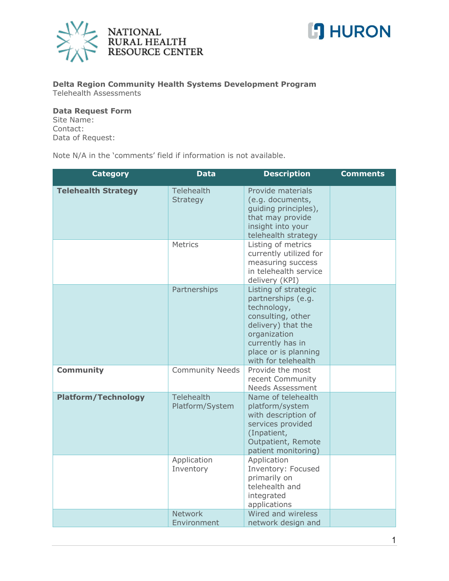



## **Delta Region Community Health Systems Development Program** Telehealth Assessments

## **Data Request Form**

Site Name: Contact: Data of Request:

Note N/A in the 'comments' field if information is not available.

| <b>Category</b>            | <b>Data</b>                          | <b>Description</b>                                                                                                                                                                      | <b>Comments</b> |
|----------------------------|--------------------------------------|-----------------------------------------------------------------------------------------------------------------------------------------------------------------------------------------|-----------------|
| <b>Telehealth Strategy</b> | <b>Telehealth</b><br>Strategy        | Provide materials<br>(e.g. documents,<br>guiding principles),<br>that may provide<br>insight into your<br>telehealth strategy                                                           |                 |
|                            | Metrics                              | Listing of metrics<br>currently utilized for<br>measuring success<br>in telehealth service<br>delivery (KPI)                                                                            |                 |
|                            | Partnerships                         | Listing of strategic<br>partnerships (e.g.<br>technology,<br>consulting, other<br>delivery) that the<br>organization<br>currently has in<br>place or is planning<br>with for telehealth |                 |
| <b>Community</b>           | <b>Community Needs</b>               | Provide the most<br>recent Community<br><b>Needs Assessment</b>                                                                                                                         |                 |
| <b>Platform/Technology</b> | <b>Telehealth</b><br>Platform/System | Name of telehealth<br>platform/system<br>with description of<br>services provided<br>(Inpatient,<br>Outpatient, Remote<br>patient monitoring)                                           |                 |
|                            | Application<br>Inventory             | Application<br>Inventory: Focused<br>primarily on<br>telehealth and<br>integrated<br>applications                                                                                       |                 |
|                            | <b>Network</b><br>Environment        | Wired and wireless<br>network design and                                                                                                                                                |                 |